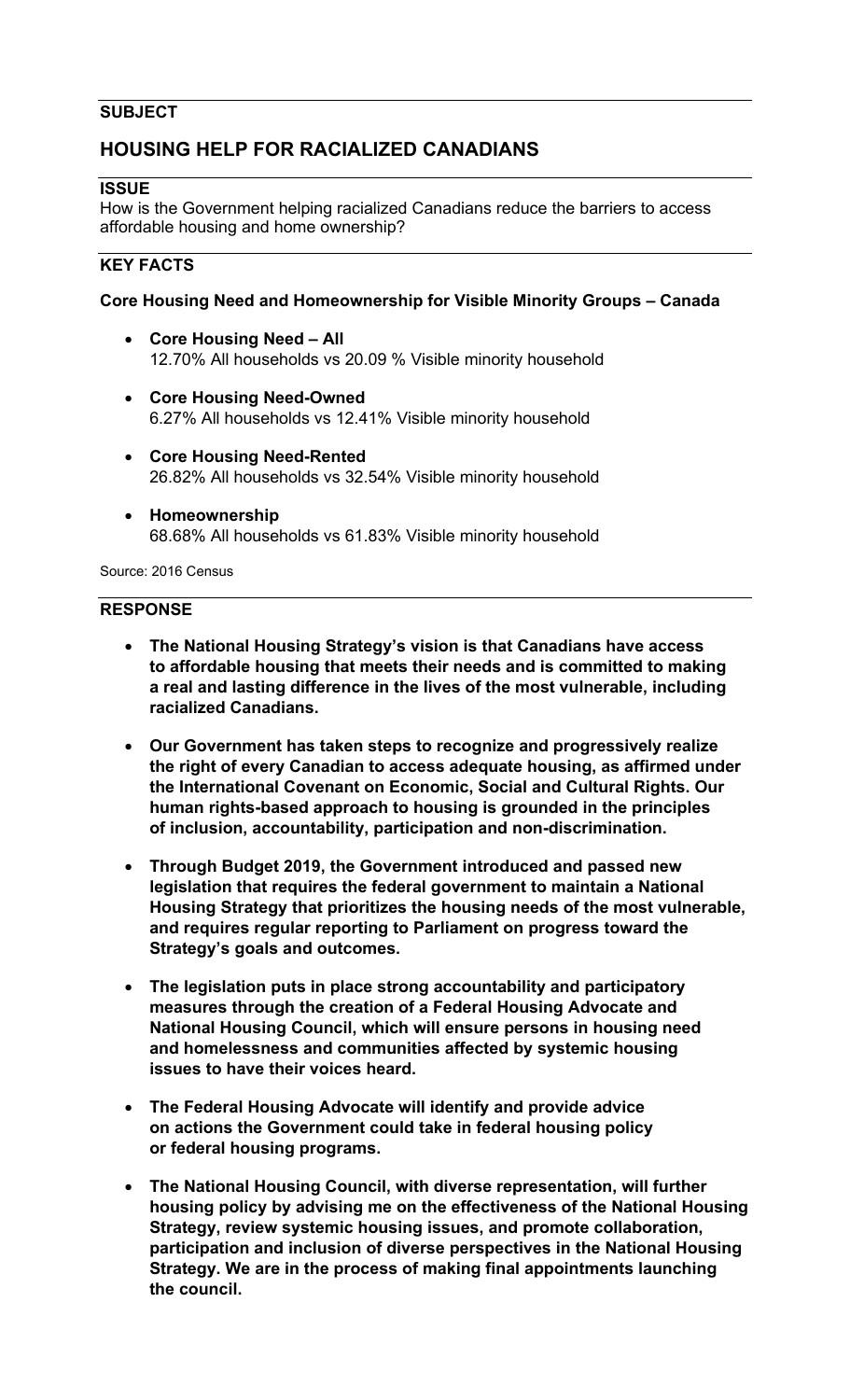## **SUBJECT**

# **HOUSING HELP FOR RACIALIZED CANADIANS**

## **ISSUE**

How is the Government helping racialized Canadians reduce the barriers to access affordable housing and home ownership?

# **KEY FACTS**

## **Core Housing Need and Homeownership for Visible Minority Groups – Canada**

- **Core Housing Need All** 12.70% All households vs 20.09 % Visible minority household
- **Core Housing Need-Owned** 6.27% All households vs 12.41% Visible minority household
- **Core Housing Need-Rented** 26.82% All households vs 32.54% Visible minority household
- **Homeownership** 68.68% All households vs 61.83% Visible minority household

Source: 2016 Census

#### **RESPONSE**

- **The National Housing Strategy's vision is that Canadians have access to affordable housing that meets their needs and is committed to making a real and lasting difference in the lives of the most vulnerable, including racialized Canadians.**
- **Our Government has taken steps to recognize and progressively realize the right of every Canadian to access adequate housing, as affirmed under the International Covenant on Economic, Social and Cultural Rights. Our human rights-based approach to housing is grounded in the principles of inclusion, accountability, participation and non-discrimination.**
- **Through Budget 2019, the Government introduced and passed new legislation that requires the federal government to maintain a National Housing Strategy that prioritizes the housing needs of the most vulnerable, and requires regular reporting to Parliament on progress toward the Strategy's goals and outcomes.**
- **The legislation puts in place strong accountability and participatory measures through the creation of a Federal Housing Advocate and National Housing Council, which will ensure persons in housing need and homelessness and communities affected by systemic housing issues to have their voices heard.**
- **The Federal Housing Advocate will identify and provide advice on actions the Government could take in federal housing policy or federal housing programs.**
- **The National Housing Council, with diverse representation, will further housing policy by advising me on the effectiveness of the National Housing Strategy, review systemic housing issues, and promote collaboration, participation and inclusion of diverse perspectives in the National Housing Strategy. We are in the process of making final appointments launching the council.**